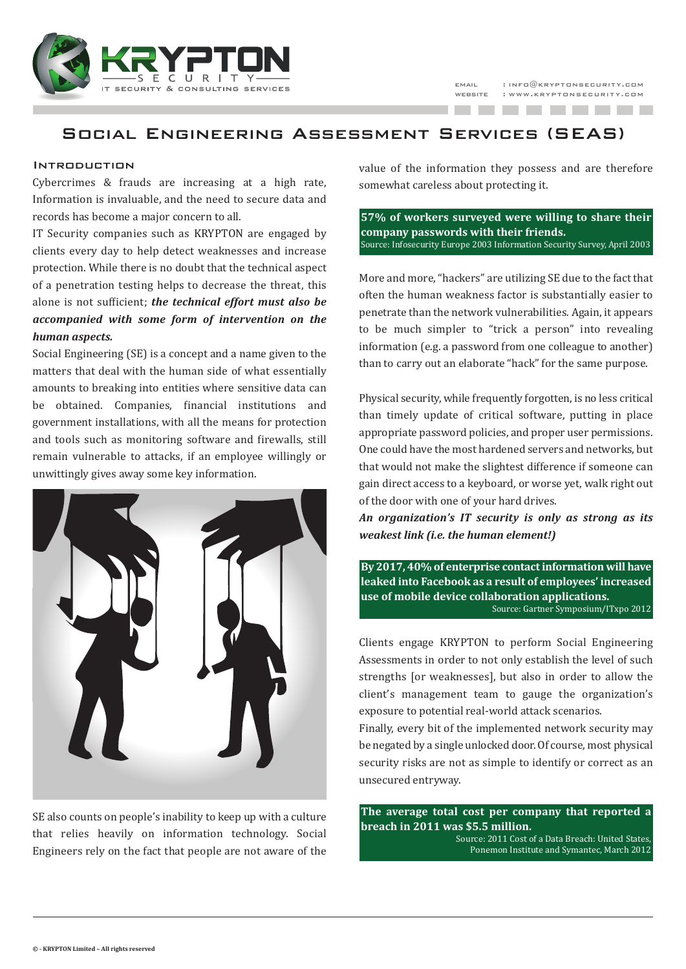

-------



# Social Engineering Assessment Services (SEAS)

### Introduction

Cybercrimes & frauds are increasing at a high rate, Information is invaluable, and the need to secure data and records has become a major concern to all.

IT Security companies such as KRYPTON are engaged by clients every day to help detect weaknesses and increase protection. While there is no doubt that the technical aspect of a penetration testing helps to decrease the threat, this alone is not sufficient; *the technical effort must also be accompanied with some form of intervention on the human aspects.*

Social Engineering (SE) is a concept and a name given to the matters that deal with the human side of what essentially amounts to breaking into entities where sensitive data can be obtained. Companies, financial institutions and government installations, with all the means for protection and tools such as monitoring software and firewalls, still remain vulnerable to attacks, if an employee willingly or unwittingly gives away some key information.



SE also counts on people's inability to keep up with a culture that relies heavily on information technology. Social Engineers rely on the fact that people are not aware of the value of the information they possess and are therefore somewhat careless about protecting it.

**57% of workers surveyed were willing to share their company passwords with their friends.** Source: Infosecurity Europe 2003 Information Security Survey, April 2003

More and more, "hackers" are utilizing SE due to the fact that often the human weakness factor is substantially easier to penetrate than the network vulnerabilities. Again, it appears to be much simpler to "trick a person" into revealing information (e.g. a password from one colleague to another) than to carry out an elaborate "hack" for the same purpose.

Physical security, while frequently forgotten, is no less critical than timely update of critical software, putting in place appropriate password policies, and proper user permissions. One could have the most hardened servers and networks, but that would not make the slightest difference if someone can gain direct access to a keyboard, or worse yet, walk right out of the door with one of your hard drives.

*An organization's IT security is only as strong as its weakest link (i.e. the human element!)*

**By 2017, 40% of enterprise contactinformation will have leaked into Facebook as a result of employees' increased use of mobile device collaboration applications.** Source: Gartner Symposium/ITxpo 2012

Clients engage KRYPTON to perform Social Engineering Assessments in order to not only establish the level of such strengths [or weaknesses], but also in order to allow the client's management team to gauge the organization's exposure to potential real-world attack scenarios.

Finally, every bit of the implemented network security may be negated by a single unlocked door. Of course, most physical security risks are not as simple to identify or correct as an unsecured entryway.

**The average total cost per company that reported a breach in 2011 was \$5.5 million.**

Source: 2011 Cost of a Data Breach: United States, Ponemon Institute and Symantec, March 2012